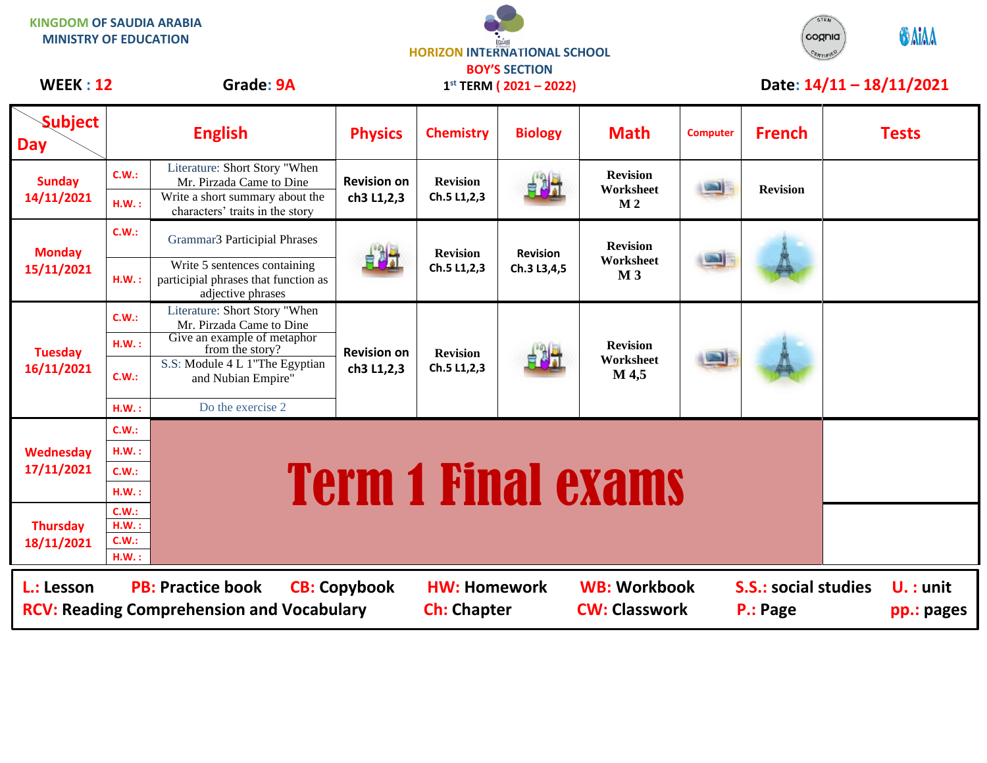| <b>KINGDOM OF SAUDIA ARABIA</b><br><b>MINISTRY OF EDUCATION</b><br>Grade: 9A<br><b>WEEK: 12</b>                                                                                                                                                          |                |                                                                                           | <b>HORIZON INTERNATIONAL SCHOOL</b><br><b>BOY'S SECTION</b><br>$1^{st}$ TERM (2021 – 2022) |                                |                                |                                                | STEM<br><b>ONIAA</b><br>cognia<br>Date: 14/11 - 18/11/2021 |                 |  |              |
|----------------------------------------------------------------------------------------------------------------------------------------------------------------------------------------------------------------------------------------------------------|----------------|-------------------------------------------------------------------------------------------|--------------------------------------------------------------------------------------------|--------------------------------|--------------------------------|------------------------------------------------|------------------------------------------------------------|-----------------|--|--------------|
| <b>Subject</b><br><b>Day</b>                                                                                                                                                                                                                             |                | <b>English</b>                                                                            | <b>Physics</b>                                                                             | <b>Chemistry</b>               | <b>Biology</b>                 | <b>Math</b>                                    | <b>Computer</b>                                            | <b>French</b>   |  | <b>Tests</b> |
| <b>Sunday</b><br>14/11/2021                                                                                                                                                                                                                              | C.W.:          | Literature: Short Story "When<br>Mr. Pirzada Came to Dine                                 | <b>Revision on</b><br>ch3 L1,2,3                                                           | <b>Revision</b><br>Ch.5 L1,2,3 | E UT                           | <b>Revision</b><br>Worksheet<br>M <sub>2</sub> | ⊐                                                          | <b>Revision</b> |  |              |
|                                                                                                                                                                                                                                                          | H.W.:          | Write a short summary about the<br>characters' traits in the story                        |                                                                                            |                                |                                |                                                |                                                            |                 |  |              |
| <b>Monday</b><br>15/11/2021                                                                                                                                                                                                                              | C.W.:          | Grammar3 Participial Phrases                                                              |                                                                                            | <b>Revision</b><br>Ch.5 L1,2,3 | <b>Revision</b><br>Ch.3 L3,4,5 | <b>Revision</b><br>Worksheet<br>M <sub>3</sub> |                                                            |                 |  |              |
|                                                                                                                                                                                                                                                          | H.W.:          | Write 5 sentences containing<br>participial phrases that function as<br>adjective phrases |                                                                                            |                                |                                |                                                |                                                            |                 |  |              |
| <b>Tuesday</b><br>16/11/2021                                                                                                                                                                                                                             | C.W.:          | Literature: Short Story "When<br>Mr. Pirzada Came to Dine                                 |                                                                                            |                                |                                |                                                |                                                            |                 |  |              |
|                                                                                                                                                                                                                                                          | H.W.:          | Give an example of metaphor<br>from the story?                                            | <b>Revision on</b>                                                                         | <b>Revision</b>                |                                | <b>Revision</b>                                |                                                            |                 |  |              |
|                                                                                                                                                                                                                                                          | C.W.:          | S.S: Module 4 L 1"The Egyptian<br>and Nubian Empire"                                      | ch3 L1,2,3                                                                                 | Ch.5 L1,2,3                    |                                | Worksheet<br>M 4,5                             |                                                            |                 |  |              |
|                                                                                                                                                                                                                                                          | H.W.:          | Do the exercise 2                                                                         |                                                                                            |                                |                                |                                                |                                                            |                 |  |              |
|                                                                                                                                                                                                                                                          | C.W.:          |                                                                                           |                                                                                            |                                |                                |                                                |                                                            |                 |  |              |
| Wednesday                                                                                                                                                                                                                                                | $H.W.$ :       |                                                                                           |                                                                                            |                                |                                |                                                |                                                            |                 |  |              |
| 17/11/2021                                                                                                                                                                                                                                               | C.W.:<br>H.W.: |                                                                                           | <b>Term 1 Final exams</b>                                                                  |                                |                                |                                                |                                                            |                 |  |              |
| <b>Thursday</b><br>18/11/2021                                                                                                                                                                                                                            | C.W.:          |                                                                                           |                                                                                            |                                |                                |                                                |                                                            |                 |  |              |
|                                                                                                                                                                                                                                                          | H.W.:          |                                                                                           |                                                                                            |                                |                                |                                                |                                                            |                 |  |              |
|                                                                                                                                                                                                                                                          | C.W.:<br>H.W.: |                                                                                           |                                                                                            |                                |                                |                                                |                                                            |                 |  |              |
| <b>WB: Workbook</b><br><b>S.S.: social studies</b><br>L.: Lesson<br><b>PB: Practice book</b><br><b>CB: Copybook</b><br><b>HW: Homework</b><br><b>RCV: Reading Comprehension and Vocabulary</b><br><b>Ch: Chapter</b><br><b>CW: Classwork</b><br>P.: Page |                |                                                                                           |                                                                                            |                                |                                |                                                | $U.$ : unit<br>pp.: pages                                  |                 |  |              |

 $\overline{\phantom{a}}$ 

STEM